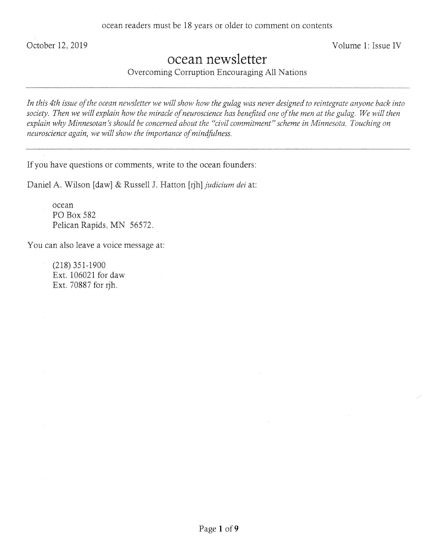October 12, 2019 Volume 1: Issue TV

# **ocean newsletter**

Overcoming Corruption Encouraging All Nations

*In this 4th issue of the ocean newsletter we will show how the gulag was never designed to reintegrate anyone back into*  society. Then we will explain how the miracle of neuroscience has benefited one of the men at the gulag. We will then *explain why Minnesotan's should be concerned about the "civil commitment" scheme in Minnesota. Touching on neuroscience again, we will show the importance of mindfulness.* 

If you have questions or comments, write to the ocean founders:

Daniel A. Wilson [daw] & Russell J. Hatton [rjh] *judicium dei* at:

ocean P0 Box 582 Pelican Rapids, MN 56572.

You can also leave a voice message at:

(218)351-1900 Ext. 106021 for daw Ext. 70887 for nh.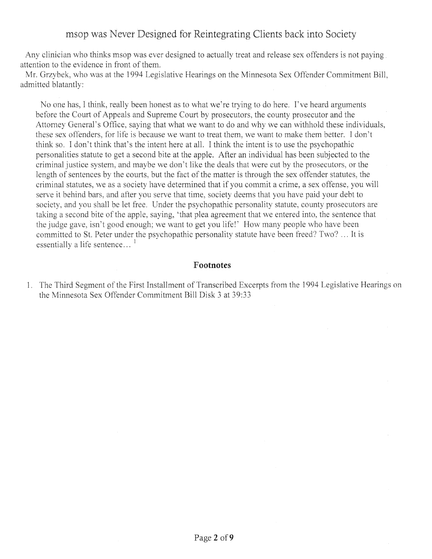#### msop was Never Designed for Reintegrating Clients back into Society

Any clinician who thinks msop was ever designed to actually treat and release sex offenders is not paying attention to the evidence in front of them.

Mr. Grzybek, who was at the 1994 Legislative Hearings on the Minnesota Sex Offender Commitment Bill, admitted blatantly:

No one has, I think, really been honest as to what we're trying to do here. I've heard arguments before the Court of Appeals and Supreme Court by prosecutors, the county prosecutor and the Attorney General's Office, saying that what we want to do and why we can withhold these individuals, these sex offenders, for life is because we want to treat them, we want to make them better. I don't think so. I don't think that's the intent here at all. I think the intent is to use the psychopathic personalities statute to get a second bite at the apple. After an individual has been subjected to the criminal justice system, and maybe we don't like the deals that were cut by the prosecutors, or the length of sentences by the courts, but the fact of the matter is through the sex offender statutes, the criminal statutes, we as a society have determined that if you commit a crime, a sex offense, you will serve it behind bars, and after you serve that time, society deems that you have paid your debt to society, and you shall be let free. Under the psychopathic personality statute, county prosecutors are taking a second bite of the apple, saying, 'that plea agreement that we entered into, the sentence that the judge gave, isn't good enough; we want to get you life!' How many people who have been committed to St. Peter under the psychopathic personality statute have been freed? Two? ... It is essentially a life sentence...<sup>1</sup>

#### **Footnotes**

The Third Segment of the First Installment of Transcribed Excerpts from the 1994 Legislative Hearings on the Minnesota Sex Offender Commitment Bill Disk 3 at 39:33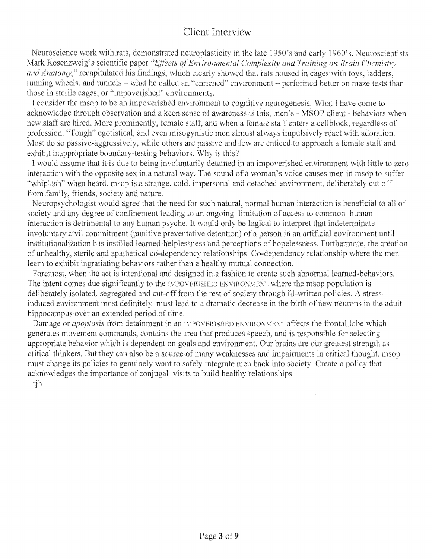### Client Interview

Neuroscience work with rats, demonstrated neuroplasticity in the late 1950's and early 1960's. Neuroscientists *Mark Rosenzweig's scientific paper "Effects of Environmental Complexity and Training on Brain Chemistry and Anatomy,"* recapitulated his findings, which clearly showed that rats housed in cages with toys, ladders, running wheels, and tunnels – what he called an "enriched" environment – performed better on maze tests than those in sterile cages, or "impoverished" environments.

I consider the msop to be an impoverished environment to cognitive neurogenesis. What I have come to acknowledge through observation and a keen sense of awareness is this, men's - MSOP client - behaviors when new staff are hired. More prominently, female staff, and when a female staff enters a cellblock, regardless of profession. "Tough" egotistical, and even misogynistic men almost always impulsively react with adoration. Most do so passive-aggressively, while others are passive and few are enticed to approach a female staff and exhibit inappropriate boundary-testing behaviors. Why is this?

I would assume that it is due to being involuntarily detained in an impoverished environment with little to zero interaction with the opposite sex in a natural way. The sound of a woman's voice causes men in msop to suffer "whiplash" when heard. msop is a strange, cold, impersonal and detached environment, deliberately cut off from family, friends, society and nature.

Neuropsychologist would agree that the need for such natural, normal human interaction is beneficial to all of society and any degree of confinement leading to an ongoing limitation of access to common human interaction is detrimental to any human psyche. It would only be logical to interpret that indeterminate involuntary civil commitment (punitive preventative detention) of a person in an artificial environment until institutionalization has instilled learned-helplessness and perceptions of hopelessness. Furthermore, the creation of unhealthy, sterile and apathetical co-dependency relationships. Co-dependency relationship where the men learn to exhibit ingratiating behaviors rather than a healthy mutual connection.

Foremost, when the act is intentional and designed in a fashion to create such abnormal learned-behaviors. The intent comes due significantly to the IMPOVERISHED ENVIRONMENT where the msop population is deliberately isolated, segregated and cut-off from the rest of society through ill-written policies. A stressinduced environment most definitely must lead to a dramatic decrease in the birth of new neurons in the adult hippocampus over an extended period of time.

Damage or *apoptosis* from detainment in an IMPOVERISHED ENVIRONMENT affects the frontal lobe which generates movement commands, contains the area that produces speech, and is responsible for selecting appropriate behavior which is dependent on goals and environment. Our brains are our greatest strength as critical thinkers. But they can also be a source of many weaknesses and impairments in critical thought. msop must change its policies to genuinely want to safely integrate men back into society. Create a policy that acknowledges the importance of conjugal visits to build healthy relationships.

rjh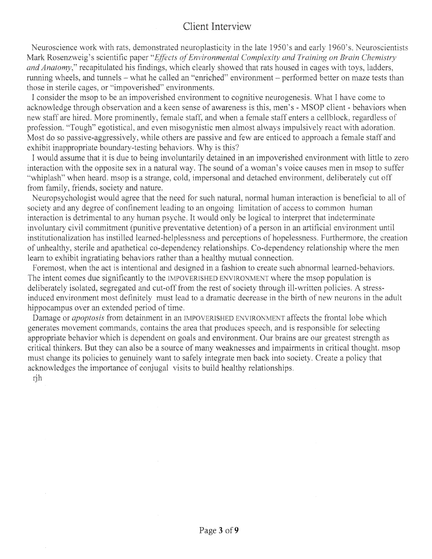### Client Interview

Neuroscience work with rats, demonstrated neuroplasticity in the late 1950's and early 1960's. Neuroscientists *Mark Rosenzweig's scientific paper "Effects of Environmental Complexity and Training on Brain Chemistry and Anatomy,"* recapitulated his findings, which clearly showed that rats housed in cages with toys, ladders, running wheels, and tunnels - what he called an "enriched" environment - performed better on maze tests than those in sterile cages, or "impoverished" environments.

I consider the msop to be an impoverished environment to cognitive neurogenesis. What I have come to acknowledge through observation and a keen sense of awareness is this, men's - MSOP client - behaviors when new staff are hired. More prominently, female staff, and when a female staff enters a ceilbiock, regardless of profession. "Tough" egotistical, and even misogynistic men almost always impulsively react with adoration. Most do so passive-aggressively, while others are passive and few are enticed to approach a female staff and exhibit inappropriate boundary-testing behaviors. Why is this?

I would assume that it is due to being involuntarily detained in an impoverished environment with little to zero interaction with the opposite sex in a natural way. The sound of a woman's voice causes men in msop to suffer "whiplash" when heard. msop is a strange, cold, impersonal and detached environment, deliberately cut off from family, friends, society and nature.

Neuropsychologist would agree that the need for such natural, normal human interaction is beneficial to all of society and any degree of confinement leading to an ongoing limitation of access to common human interaction is detrimental to any human psyche. It would only be logical to interpret that indeterminate involuntary civil commitment (punitive preventative detention) of a person in an artificial environment until institutionalization has instilled learned-helplessness and perceptions of hopelessness. Furthermore, the creation of unhealthy, sterile and apathetical co-dependency relationships. Co-dependency relationship where the men learn to exhibit ingratiating behaviors rather than a healthy mutual connection.

Foremost, when the act is intentional and designed in a fashion to create such abnormal learned-behaviors. The intent comes due significantly to the IMPOVERISHED ENVIRONMENT where the msop population is deliberately isolated, segregated and cut-off from the rest of society through ill-written policies. A stressinduced environment most definitely must lead to a dramatic decrease in the birth of new neurons in the adult hippocampus over an extended period of time.

Damage or *apoptosis* from detainment in an IMPOVERISHED ENVIRONMENT affects the frontal lobe which generates movement commands, contains the area that produces speech, and is responsible for selecting appropriate behavior which is dependent on goals and environment. Our brains are our greatest strength as critical thinkers. But they can also be a source of many weaknesses and impairments in critical thought. msop must change its policies to genuinely want to safely integrate men back into society. Create a policy that acknowledges the importance of conjugal visits to build healthy relationships.

rjh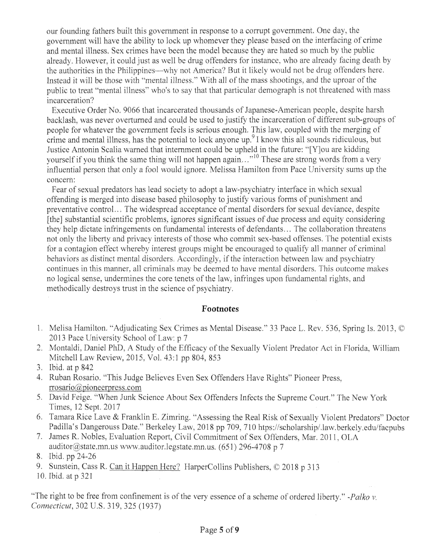our founding fathers built this government in response to a corrupt government. One day, the government will have the ability to lock up whomever they please based on the interfacing of crime and mental illness. Sex crimes have been the model because they are hated so much by the public already. However, it could just as well be drug offenders for instance, who are already facing death by the authorities in the Philippines—why not America? But it likely would not be drug offenders here. Instead it will be those with "mental illness." With all of the mass shootings, and the uproar of the public to treat "mental illness" who's to say that that particular demograph is not threatened with mass incarceration?

Executive Order No. 9066 that incarcerated thousands of Japanese-American people, despite harsh backlash, was never overturned and could be used to justify the incarceration of different sub-groups of people for whatever the government feels is serious enough. This law, coupled with the merging of crime and mental illness, has the potential to lock anyone up.<sup>9</sup>I know this all sounds ridiculous, but Justice Antonin Scalia warned that internment could be upheld in the future: "[Y]ou are kidding yourself if you think the same thing will not happen again... " **10** These are strong words from a very influential person that only a fool would ignore. Melissa Hamilton from Pace University sums up the concern:

Fear of sexual predators has lead society to adopt a law-psychiatry interface in which sexual offending is merged into disease based philosophy to justify various forms of punishment and preventative control... The widespread acceptance of mental disorders for sexual deviance, despite [the] substantial scientific problems, ignores significant issues of due process and equity considering they help dictate infringements on fundamental interests of defendants... The collaboration threatens not only the liberty and privacy interests of those who commit sex-based offenses. The potential exists for a contagion effect whereby interest groups might be encouraged to qualify all manner of criminal behaviors as distinct mental disorders. Accordingly, if the interaction between law and psychiatry *continues* in this manner, all criminals may be deemed to have mental disorders. This outcome makes no logical sense, undermines the core tenets of the law, infringes upon fundamental rights, and methodically destroys trust in the science of psychiatry.

#### **Footnotes**

- 1. Melisa Hamilton. "Adjudicating Sex Crimes as Mental Disease." 33 Pace L. Rev. 536, Spring Is. 2013, © 2013 Pace University School of Law: p 7
- 2. Montaldi, Daniel PhD, A Study of the Efficacy of the Sexually Violent Predator Act in Florida, William Mitchell Law Review, 2015, Vol. 43:1 pp 804, *853*
- 3. Ibid. atp842
- 4. Ruban Rosario. "This Judge Believes Even Sex Offenders Have Rights" Pioneer Press, rrosario@pioneerpress.com
- 5. David Feige. "When Junk Science About Sex Offenders infects the Supreme Court." The New York Times, 12 Sept. 2017
- 6. Tamara Rice Lave & Franklin E. Zimring. "Assessing the Real Risk of Sexually Violent Predators" Doctor Padilla's Dangerouss Date." Berkeley Law, 2018 pp 709, 710 htps://scholarship/.law.berkely.edu/facpubs
- 7. James R. Nobles, Evaluation Report, Civil Commitment of Sex Offenders, Mar. 2011, OLA auditor@state.mn.uswww.auditor.legstate.mn.us. *(651)* 296-4708 p 7
- 8. Ibid. pp 24-26
- 9. Sunstein, Cass R. Can it Happen Here? HarperCollins Publishers, © 2018 p 313
- 10. Ibid. at p 321

"The right to be free from confinement is of the very essence of a scheme of ordered liberty." *-Palko v. Connecticut,* 302 U.S. 319, 325 (1937)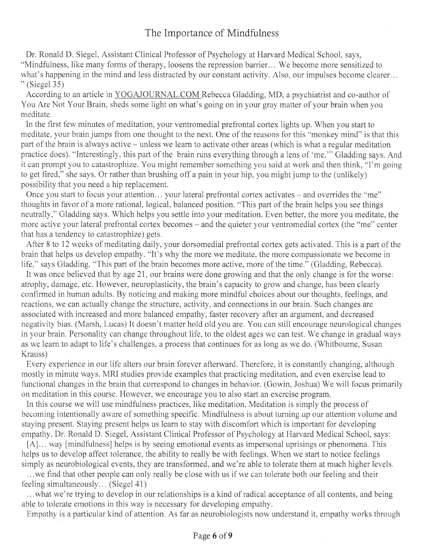## The Importance of Mindfulness

Dr. Ronald D. Siegel, Assistant Clinical Professor of Psychology at Harvard Medical School, says, "Mindfulness, like many forms of therapy, loosens the repression barrier. . We become more sensitized to what's happening in the mind and less distracted by our constant activity. Also, our impulses become clearer... (Siegel *35)* 

According to an article in YOGAJOURNAL.COM Rebecca Gladding, MD, a psychiatrist and co-author of You Are Not Your Brain, sheds some light on what's going on in your gray matter of your brain when you meditate.

In the first few minutes of meditation, your ventromedial prefrontal cortex lights up. When you start to meditate, your brain jumps from one thought to the next. One of the reasons for this "monkey mind" is that this part of the brain is always active - unless we learn to activate other areas (which is what a regular meditation practice does). "Interestingly, this part of the brain runs everything through a lens of 'me," Gladding says. And it can prompt you to catastrophize. You might remember something you said at work and then think, "I'm going to get fired," she says. Or rather than brushing off a pain in your hip, you might jump to the (unlikely) possibility that you need a hip replacement.

Once you start to focus your attention... your lateral prefrontal cortex activates – and overrides the "me" thoughts in favor of a more rational, logical, balanced position. "This part of the brain helps you see things neutrally," Gladding says. Which helps you settle into your meditation. Even better, the more you meditate, the more active your lateral prefrontal cortex becomes – and the quieter your ventromedial cortex (the "me" center that has a tendency to catastrophize) gets.

After 8 to 12 weeks of meditating daily, your dorsomedial prefrontal cortex gets activated. This is a part of the brain that helps us develop empathy. "It's why the more we meditate, the more compassionate we become in life," says Gladding. "This part of the brain becomes more active, more of the time." (Gladding, Rebecca).

It was once believed that by age 21, our brains were done growing and that the only change is for the worse: atrophy, damage, etc. However, neuroplasticity, the brain's capacity to grow and change, has been clearly confirmed in human adults. By noticing and making more mindful choices about our thoughts, feelings, and reactions, we can actually change the structure, activity, and connections in our brain. Such changes are associated with increased and more balanced empathy, faster recovery after an argument, and decreased negativity bias. (Marsh, Lucas) It doesn't matter hold old you are. You can still encourage neurological changes in your brain. Personality can change throughout life, to the oldest ages we can test. We change in gradual ways as we learn to adapt to life's challenges, a process that continues for as long as we do. (Whitbourne, Susan Krauss)

Every experience in our life alters our brain forever afterward. Therefore, it is constantly changing, although mostly in minute ways. MRI studies provide examples that practicing meditation, and even exercise lead to functional changes in the brain that correspond to changes in behavior. (Gowin, Joshua) We will focus primarily on meditation in this course. However, we encourage you to also start an exercise program.

In this course we will use mindfulness practices, like meditation. Meditation is simply the process of becoming intentionally aware of something specific. Mindfulness is about turning up our attention volume and staying present. Staying present helps us learn to stay with discomfort which is important for developing empathy. Dr. Ronald D. Siegel, Assistant Clinical Professor of Psychology at Harvard Medical School, says:

[A]... way [mindfulness] helps is by seeing emotional events as impersonal uprisings or phenomena. This helps us to develop affect tolerance, the ability to really be with feelings. When we start to notice feelings simply as neurobiological events, they are transformed, and we're able to tolerate them at much higher levels.

...we find that other people can only really be close with us if we can tolerate both our feeling and their feeling simultaneously... (Siegel 41)

...what we're trying to develop in our relationships is a kind of radical acceptance of all contents, and being able to tolerate emotions in this way is necessary for developing empathy.

Empathy is a particular kind of attention. As far as neurobiologists now understand it, empathy works through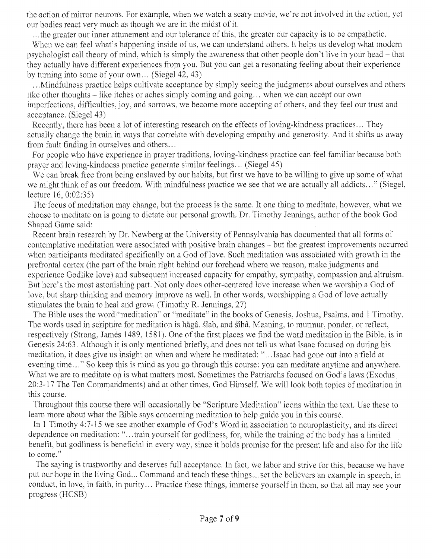the action of mirror neurons. For example, when we watch a scary movie, we're not involved in the action, yet our bodies react very much as though we are in the midst of it.

... the greater our inner attunement and our tolerance of this, the greater our capacity is to be empathetic.

When we can feel what's happening inside of us, we can understand others. It helps us develop what modern psychologist call theory of mind, which is simply the awareness that other people don't live in your head - that they actually have different experiences from you. But you can get a resonating feeling about their experience by turning into some of your own... (Siegel 42, 43)

Mindfulness practice helps cultivate acceptance by simply seeing the judgments about ourselves and others like other thoughts – like itches or aches simply coming and going... when we can accept our own imperfections, difficulties, joy, and sorrows, we become more accepting of others, and they feel our trust and acceptance. (Siegel 43)

Recently, there has been a lot of interesting research on the effects of loving-kindness practices... They actually change the brain in ways that correlate with developing empathy and generosity. And it shifts us away from fault finding in ourselves and others...

For people who have experience in prayer traditions, loving-kindness practice can feel familiar because both prayer and loving-kindness practice generate similar feelings... (Siegel 45)

We can break free from being enslaved by our habits, but first we have to be willing to give up some of what we might think of as our freedom. With mindfulness practice we see that we are actually all addicts..." (Siegel, lecture 16, 0:02:35)

The focus of meditation may change, but the process is the same. It one thing to meditate, however, what we choose to meditate on is going to dictate our personal growth. Dr. Timothy Jennings, author of the book God Shaped Game said:

Recent brain research by Dr. Newberg at the University of Pennsylvania has documented that all forms of contemplative meditation were associated with positive brain changes - but the greatest improvements occurred when participants meditated specifically on a God of love. Such meditation was associated with growth in the prefrontal cortex (the part of the brain right behind our forehead where we reason, make judgments and experience Godlike love) and subsequent increased capacity for empathy, sympathy, compassion and altruism. But here's the most astonishing part. Not only does other-centered love increase when we worship a God of love, but sharp thinking and memory improve as well. In other words, worshipping a God of love actually stimulates the brain to heal and grow. (Timothy R. Jennings, 27)

The Bible uses the word "meditation" or "meditate" in the books of Genesis, Joshua, Psalms, and I Timothy. The words used in scripture for meditation is hāgâ, sîah, and sîhâ. Meaning, to murmur, ponder, or reflect, respectively (Strong, James 1489, 1581). One of the first places we find the word meditation in the Bible, is in Genesis 24:63. Although it is only mentioned briefly, and does not tell us what Isaac focused on during his meditation, it does give us insight on when and where he meditated: "...Isaac had gone out into a field at evening time..." So keep this is mind as you go through this course: you can meditate anytime and anywhere. What we are to meditate on is what matters most. Sometimes the Patriarchs focused on God's laws (Exodus 20:3-17 The Ten Commandments) and at other times, God Himself. We will look both topics of meditation in this course.

Throughout this course there will occasionally be "Scripture Meditation" icons within the text. Use these to learn more about what the Bible says concerning meditation to help guide you in this course.

In 1 Timothy 4:7-15 we see another example of God's Word in association to neuroplasticity, and its direct dependence on meditation: "...train yourself for godliness, for, while the training of the body has a limited benefit, but godliness is beneficial in every way, since it holds promise for the present life and also for the life to come."

The saying is trustworthy and deserves full acceptance. In fact, we labor and strive for this, because we have put our hope in the living God... Command and teach these things.. . set the believers an example in speech, in conduct, in love, in faith, in purity... Practice these things, immerse yourself in them, so that all may see your progress (HCSB)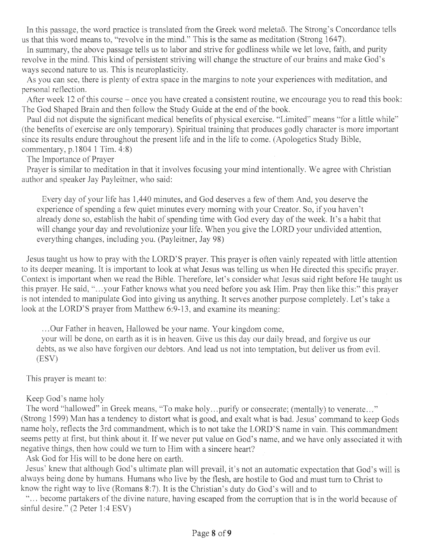In this passage, the word practice is translated from the Greek word meletao. The Strong's Concordance tells us that this word means to, "revolve in the mind." This is the same as meditation (Strong 1647).

In summary, the above passage tells us to labor and strive for godliness while we let love, faith, and purity revolve in the mind. This kind of persistent striving will change the structure of our brains and make God's ways second nature to us. This is neuroplasticity.

As you can see, there is plenty of extra space in the margins to note your experiences with meditation, and personal reflection.

After week 12 of this course – once you have created a consistent routine, we encourage you to read this book: The God Shaped Brain and then follow the Study Guide at the end of the book.

Paul did not dispute the significant medical benefits of physical exercise. "Limited" means "for a little while" (the benefits of exercise are only temporary). Spiritual training that produces godly character is more important since its results endure throughout the present life and in the life to come. (Apologetics Study Bible, commentary, p.1804 1 Tim. 4:8)

The Importance of Prayer

Prayer is similar to meditation in that it involves focusing your mind intentionally. We agree with Christian author and speaker Jay Payleitner, who said:

Every day of your life has 1,440 minutes, and God deserves a few of them And, you deserve the experience of spending a few quiet minutes every morning with your Creator. So, if you haven't already done so, establish the habit of spending time with God every day of the week. It's a habit that will change your day and revolutionize your life. When you give the LORD your undivided attention, everything changes, including you. (Payleitner, Jay 98)

Jesus taught us how to pray with the LORD'S prayer. This prayer is often vainly repeated with little attention to its deeper meaning. It is important to look at what Jesus was telling us when He directed this specific prayer. Context is important when we read the Bible. Therefore, let's consider what Jesus said right before He taught us this prayer. He said, "...your Father knows what you need before you ask Him. Pray then like this:" this prayer is not intended to manipulate God into giving us anything. It serves another purpose completely. Let's take a look at the LORD'S prayer from Matthew 6:9-13, and examine its meaning:

Our Father in heaven, Hallowed be your name. Your kingdom come,

your will be done, on earth as it is in heaven. Give us this day our daily bread, and forgive us our debts, as we also have forgiven our debtors. And lead us not into temptation, but deliver us from evil. (ESV)

This prayer is meant to:

Keep God's name holy

The word "hallowed" in Greek means, "To make holy.. .purify or consecrate; (mentally) to venerate..." (Strong *1599)* Man has a tendency to distort what is good, and exalt what is bad. Jesus' command to keep Gods name holy, reflects the 3rd commandment, which is to not take the LORD'S name in vain. This commandment seems petty at first, but think about it. If we never put value on God's name, and we have only associated it with negative things, then how could we turn to Him with a sincere heart?

Ask God for His will to be done here on earth.

Jesus' knew that although God's ultimate plan will prevail, it's not an automatic expectation that God's will is always being done by humans. Humans who live by the flesh, are hostile to God and must turn to Christ to know the right way to live (Romans 8:7). It is the Christian's duty do God's will and to

"... become partakers of the divine nature, having escaped from the corruption that is in the world because of sinful desire." (2 Peter 1:4 ESV)